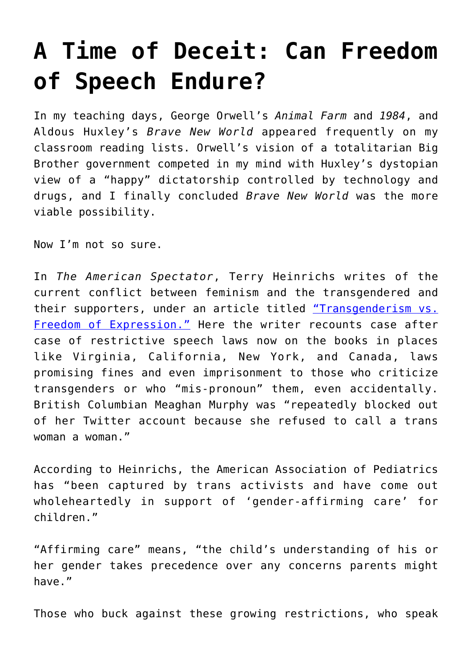## **[A Time of Deceit: Can Freedom](https://intellectualtakeout.org/2019/11/a-time-of-deceit-can-freedom-of-speech-endure/) [of Speech Endure?](https://intellectualtakeout.org/2019/11/a-time-of-deceit-can-freedom-of-speech-endure/)**

In my teaching days, George Orwell's *Animal Farm* and *1984*, and Aldous Huxley's *Brave New World* appeared frequently on my classroom reading lists. Orwell's vision of a totalitarian Big Brother government competed in my mind with Huxley's dystopian view of a "happy" dictatorship controlled by technology and drugs, and I finally concluded *Brave New World* was the more viable possibility.

Now I'm not so sure.

In *The American Spectator*, Terry Heinrichs writes of the current conflict between feminism and the transgendered and their supporters, under an article titled ["Transgenderism vs.](https://spectator.org/transgenderism-v-freedom-of-expression/) [Freedom of Expression."](https://spectator.org/transgenderism-v-freedom-of-expression/) Here the writer recounts case after case of restrictive speech laws now on the books in places like Virginia, California, New York, and Canada, laws promising fines and even imprisonment to those who criticize transgenders or who "mis-pronoun" them, even accidentally. British Columbian Meaghan Murphy was "repeatedly blocked out of her Twitter account because she refused to call a trans woman a woman."

According to Heinrichs, the American Association of Pediatrics has "been captured by trans activists and have come out wholeheartedly in support of 'gender-affirming care' for children."

"Affirming care" means, "the child's understanding of his or her gender takes precedence over any concerns parents might have."

Those who buck against these growing restrictions, who speak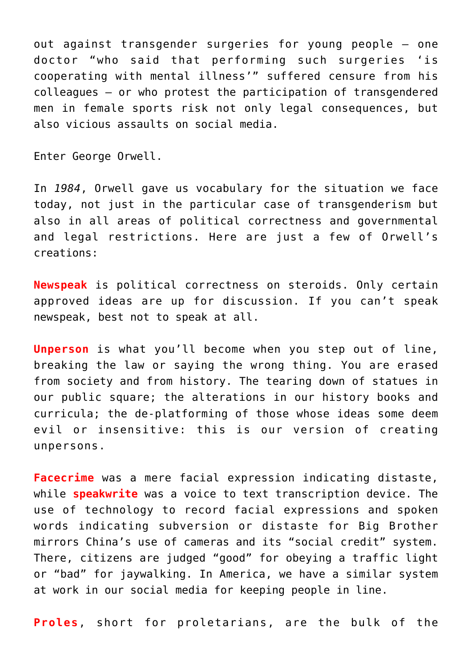out against transgender surgeries for young people – one doctor "who said that performing such surgeries 'is cooperating with mental illness'" suffered censure from his colleagues – or who protest the participation of transgendered men in female sports risk not only legal consequences, but also vicious assaults on social media.

Enter George Orwell.

In *1984*, Orwell gave us vocabulary for the situation we face today, not just in the particular case of transgenderism but also in all areas of political correctness and governmental and legal restrictions. Here are just a few of Orwell's creations:

**Newspeak** is political correctness on steroids. Only certain approved ideas are up for discussion. If you can't speak newspeak, best not to speak at all.

**Unperson** is what you'll become when you step out of line, breaking the law or saying the wrong thing. You are erased from society and from history. The tearing down of statues in our public square; the alterations in our history books and curricula; the de-platforming of those whose ideas some deem evil or insensitive: this is our version of creating unpersons.

**Facecrime** was a mere facial expression indicating distaste, while **speakwrite** was a voice to text transcription device. The use of technology to record facial expressions and spoken words indicating subversion or distaste for Big Brother mirrors China's use of cameras and its "social credit" system. There, citizens are judged "good" for obeying a traffic light or "bad" for jaywalking. In America, we have a similar system at work in our social media for keeping people in line.

**Proles**, short for proletarians, are the bulk of the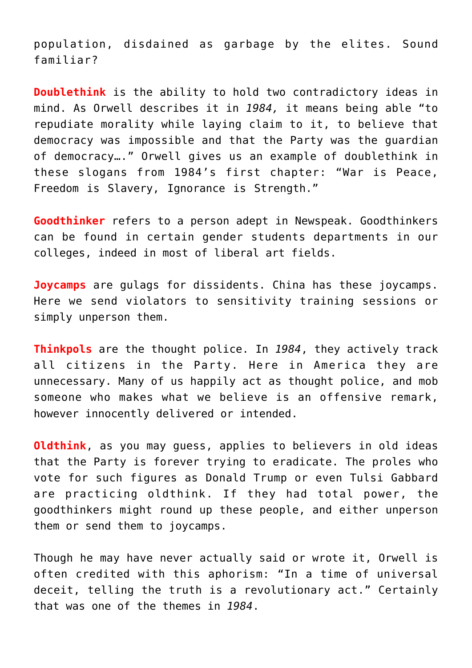population, disdained as garbage by the elites. Sound familiar?

**Doublethink** is the ability to hold two contradictory ideas in mind. As Orwell describes it in *1984,* it means being able "to repudiate morality while laying claim to it, to believe that democracy was impossible and that the Party was the guardian of democracy…." Orwell gives us an example of doublethink in these slogans from 1984's first chapter: "War is Peace, Freedom is Slavery, Ignorance is Strength."

**Goodthinker** refers to a person adept in Newspeak. Goodthinkers can be found in certain gender students departments in our colleges, indeed in most of liberal art fields.

**Joycamps** are gulags for dissidents. China has these joycamps. Here we send violators to sensitivity training sessions or simply unperson them.

**Thinkpols** are the thought police. In *1984*, they actively track all citizens in the Party. Here in America they are unnecessary. Many of us happily act as thought police, and mob someone who makes what we believe is an offensive remark, however innocently delivered or intended.

**Oldthink**, as you may guess, applies to believers in old ideas that the Party is forever trying to eradicate. The proles who vote for such figures as Donald Trump or even Tulsi Gabbard are practicing oldthink. If they had total power, the goodthinkers might round up these people, and either unperson them or send them to joycamps.

Though he may have never actually said or wrote it, Orwell is often credited with this aphorism: "In a time of universal deceit, telling the truth is a revolutionary act." Certainly that was one of the themes in *1984*.